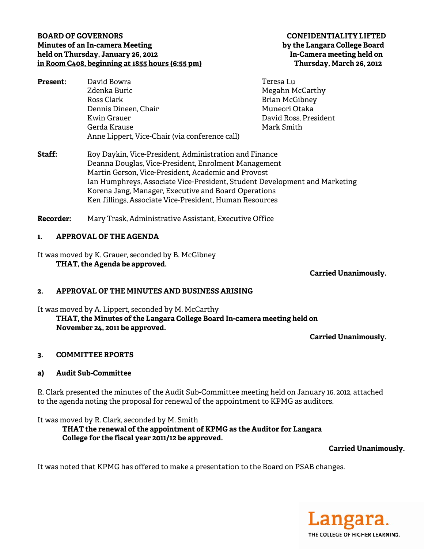### **BOARD OF GOVERNORS Minutes of an In-camera Meeting** held on Thursday, January 26, 2012 in Room C408, beginning at 1855 hours (6:55 pm)

David Bowra Present: Zdenka Buric Ross Clark Dennis Dineen, Chair **Kwin Grauer** Gerda Krause Anne Lippert, Vice-Chair (via conference call)

### **CONFIDENTIALITY LIFTED** by the Langara College Board In-Camera meeting held on Thursday, March 26, 2012

- Teresa Lu Megahn McCarthy **Brian McGibney** Muneori Otaka David Ross, President Mark Smith
- $Straff<sup>+</sup>$ Roy Daykin, Vice-President, Administration and Finance Deanna Douglas, Vice-President, Enrolment Management Martin Gerson, Vice-President, Academic and Provost Ian Humphreys, Associate Vice-President, Student Development and Marketing Korena Jang, Manager, Executive and Board Operations Ken Jillings, Associate Vice-President, Human Resources

Recorder: Mary Trask, Administrative Assistant, Executive Office

#### $\mathbf{L}$ **APPROVAL OF THE AGENDA**

It was moved by K. Grauer, seconded by B. McGibney THAT, the Agenda be approved.

**Carried Unanimously.** 

#### APPROVAL OF THE MINUTES AND BUSINESS ARISING  $2<sub>1</sub>$

It was moved by A. Lippert, seconded by M. McCarthy

THAT, the Minutes of the Langara College Board In-camera meeting held on November 24, 2011 be approved.

**Carried Unanimously.** 

#### **COMMITTEE RPORTS**  $3.$

#### **Audit Sub-Committee** a)

R. Clark presented the minutes of the Audit Sub-Committee meeting held on January 16, 2012, attached to the agenda noting the proposal for renewal of the appointment to KPMG as auditors.

It was moved by R. Clark, seconded by M. Smith

THAT the renewal of the appointment of KPMG as the Auditor for Langara College for the fiscal year 2011/12 be approved.

# **Carried Unanimously.**

It was noted that KPMG has offered to make a presentation to the Board on PSAB changes.